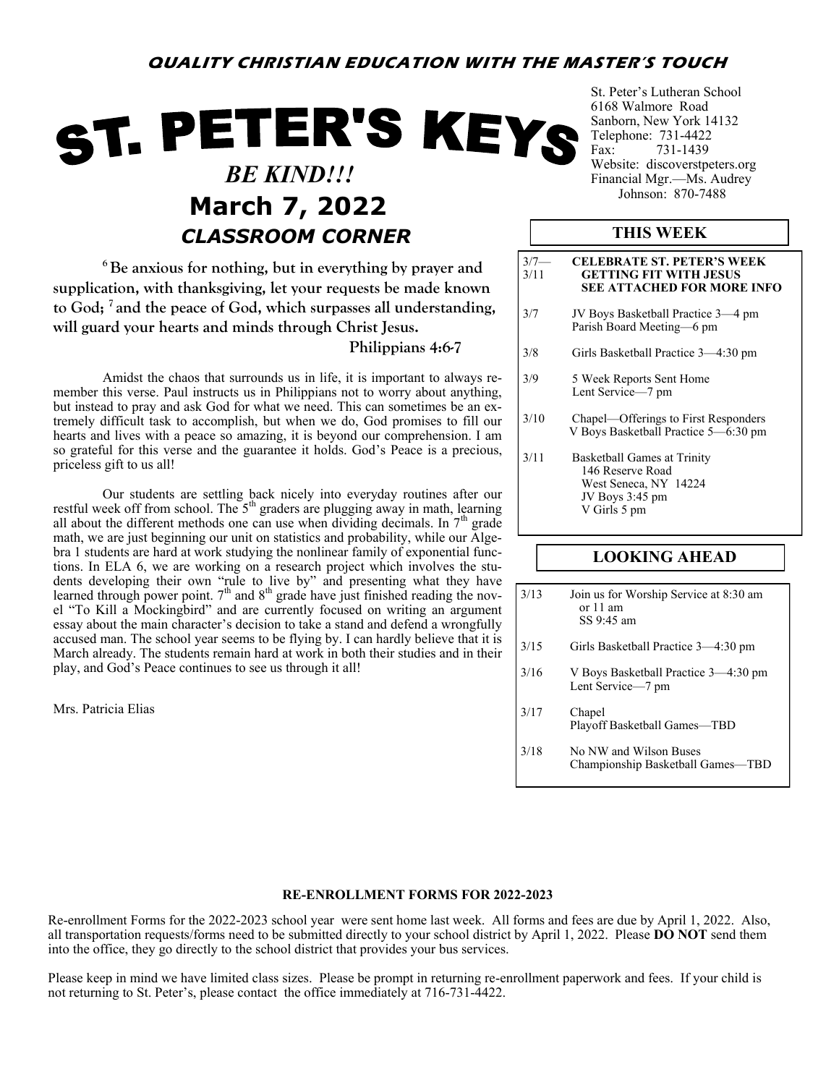# **QUALITY CHRISTIAN EDUCATION WITH THE MASTER'S TOUCH**

# ST. PETER'S KEYS  *BE KIND!!!* **March 7, 2022** *CLASSROOM CORNER*

**<sup>6</sup>Be anxious for nothing, but in everything by prayer and supplication, with thanksgiving, let your requests be made known to God; <sup>7</sup> and the peace of God, which surpasses all understanding, will guard your hearts and minds through Christ Jesus.**

## **Philippians 4:6-7**

Amidst the chaos that surrounds us in life, it is important to always remember this verse. Paul instructs us in Philippians not to worry about anything, but instead to pray and ask God for what we need. This can sometimes be an extremely difficult task to accomplish, but when we do, God promises to fill our hearts and lives with a peace so amazing, it is beyond our comprehension. I am so grateful for this verse and the guarantee it holds. God's Peace is a precious, priceless gift to us all!

Our students are settling back nicely into everyday routines after our restful week off from school. The  $5<sup>th</sup>$  graders are plugging away in math, learning all about the different methods one can use when dividing decimals. In  $7<sup>th</sup>$  grade math, we are just beginning our unit on statistics and probability, while our Algebra 1 students are hard at work studying the nonlinear family of exponential functions. In ELA 6, we are working on a research project which involves the students developing their own "rule to live by" and presenting what they have learned through power point.  $7<sup>th</sup>$  and  $8<sup>th</sup>$  grade have just finished reading the novel "To Kill a Mockingbird" and are currently focused on writing an argument essay about the main character's decision to take a stand and defend a wrongfully accused man. The school year seems to be flying by. I can hardly believe that it is March already. The students remain hard at work in both their studies and in their play, and God's Peace continues to see us through it all!

Mrs. Patricia Elias

St. Peter's Lutheran School 6168 Walmore Road Sanborn, New York 14132 Telephone: 731-4422 Fax: 731-1439 Website: discoverstpeters.org Financial Mgr.—Ms. Audrey<br>Johnson: 870-7488

# **THIS WEEK**

| $3/7-$<br>3/11 | <b>CELEBRATE ST. PETER'S WEEK</b><br><b>GETTING FIT WITH JESUS</b><br><b>SEE ATTACHED FOR MORE INFO</b>     |  |  |  |  |
|----------------|-------------------------------------------------------------------------------------------------------------|--|--|--|--|
| 3/7            | JV Boys Basketball Practice 3-4 pm<br>Parish Board Meeting-6 pm                                             |  |  |  |  |
| 3/8            | Girls Basketball Practice 3—4:30 pm                                                                         |  |  |  |  |
| 3/9            | 5 Week Reports Sent Home<br>Lent Service-7 pm                                                               |  |  |  |  |
| 3/10           | Chapel—Offerings to First Responders<br>V Boys Basketball Practice 5–6:30 pm                                |  |  |  |  |
| 3/11           | Basketball Games at Trinity<br>146 Reserve Road<br>West Seneca, NY 14224<br>JV Boys 3:45 pm<br>V Girls 5 pm |  |  |  |  |

# **LOOKING AHEAD**

| 3/13 | Join us for Worship Service at 8:30 am<br>or $11$ am<br>SS 9:45 am |
|------|--------------------------------------------------------------------|
| 3/15 | Girls Basketball Practice 3-4:30 pm                                |
| 3/16 | V Boys Basketball Practice 3—4:30 pm<br>Lent Service-7 pm          |
| 3/17 | Chapel<br>Playoff Basketball Games-TBD                             |

3/18 No NW and Wilson Buses Championship Basketball Games—TBD

#### **RE-ENROLLMENT FORMS FOR 2022-2023**

Re-enrollment Forms for the 2022-2023 school year were sent home last week. All forms and fees are due by April 1, 2022. Also, all transportation requests/forms need to be submitted directly to your school district by April 1, 2022. Please **DO NOT** send them into the office, they go directly to the school district that provides your bus services.

Please keep in mind we have limited class sizes. Please be prompt in returning re-enrollment paperwork and fees. If your child is not returning to St. Peter's, please contact the office immediately at 716-731-4422.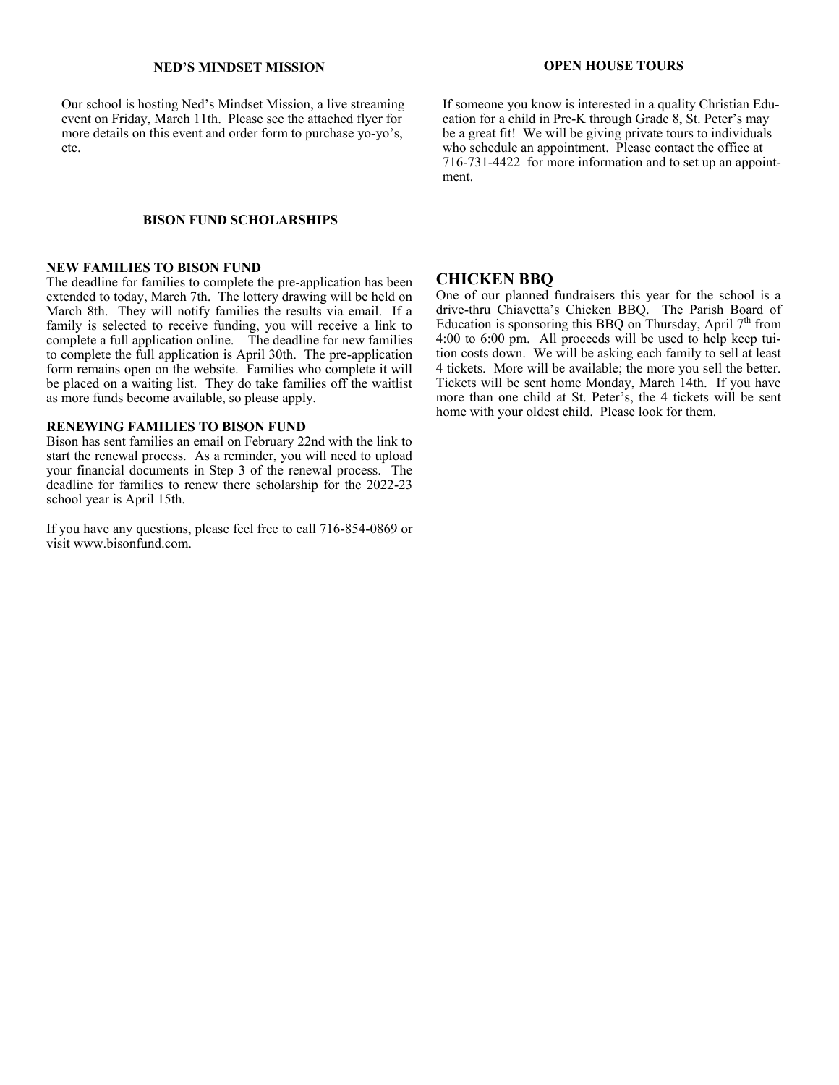## **NED'S MINDSET MISSION**

Our school is hosting Ned's Mindset Mission, a live streaming event on Friday, March 11th. Please see the attached flyer for more details on this event and order form to purchase yo-yo's, etc.

#### **BISON FUND SCHOLARSHIPS**

#### **NEW FAMILIES TO BISON FUND**

The deadline for families to complete the pre-application has been extended to today, March 7th. The lottery drawing will be held on March 8th. They will notify families the results via email. If a family is selected to receive funding, you will receive a link to complete a full application online. The deadline for new families to complete the full application is April 30th. The pre-application form remains open on the website. Families who complete it will be placed on a waiting list. They do take families off the waitlist as more funds become available, so please apply.

#### **RENEWING FAMILIES TO BISON FUND**

Bison has sent families an email on February 22nd with the link to start the renewal process. As a reminder, you will need to upload your financial documents in Step 3 of the renewal process. The deadline for families to renew there scholarship for the 2022-23 school year is April 15th.

If you have any questions, please feel free to call 716-854-0869 or visit www.bisonfund.com.

### **OPEN HOUSE TOURS**

If someone you know is interested in a quality Christian Education for a child in Pre-K through Grade 8, St. Peter's may be a great fit! We will be giving private tours to individuals who schedule an appointment. Please contact the office at 716-731-4422 for more information and to set up an appointment.

## **CHICKEN BBQ**

One of our planned fundraisers this year for the school is a drive-thru Chiavetta's Chicken BBQ. The Parish Board of Education is sponsoring this BBQ on Thursday, April  $7<sup>th</sup>$  from 4:00 to 6:00 pm. All proceeds will be used to help keep tuition costs down. We will be asking each family to sell at least 4 tickets. More will be available; the more you sell the better. Tickets will be sent home Monday, March 14th. If you have more than one child at St. Peter's, the 4 tickets will be sent home with your oldest child. Please look for them.